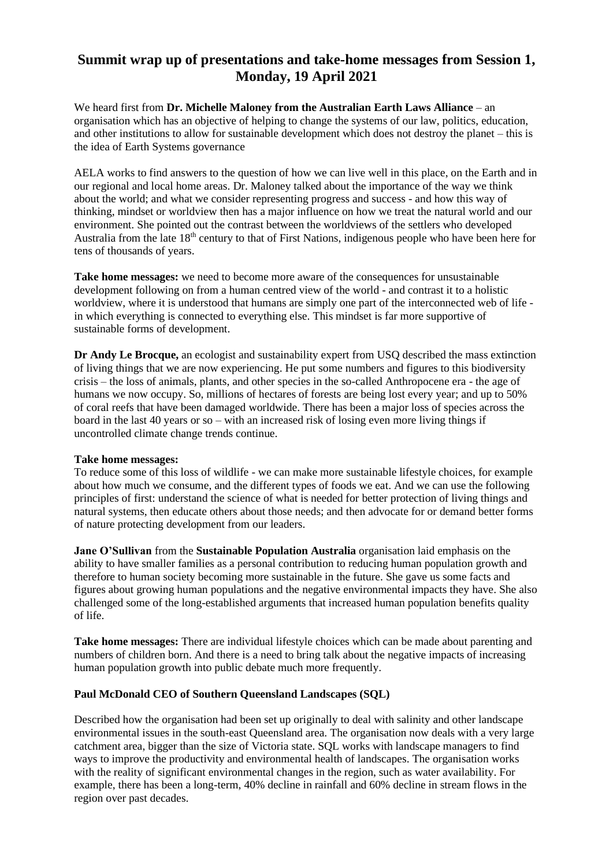## **Summit wrap up of presentations and take-home messages from Session 1, Monday, 19 April 2021**

We heard first from **Dr. Michelle Maloney from the Australian Earth Laws Alliance** – an organisation which has an objective of helping to change the systems of our law, politics, education, and other institutions to allow for sustainable development which does not destroy the planet – this is the idea of Earth Systems governance

AELA works to find answers to the question of how we can live well in this place, on the Earth and in our regional and local home areas. Dr. Maloney talked about the importance of the way we think about the world; and what we consider representing progress and success - and how this way of thinking, mindset or worldview then has a major influence on how we treat the natural world and our environment. She pointed out the contrast between the worldviews of the settlers who developed Australia from the late 18th century to that of First Nations, indigenous people who have been here for tens of thousands of years.

**Take home messages:** we need to become more aware of the consequences for unsustainable development following on from a human centred view of the world - and contrast it to a holistic worldview, where it is understood that humans are simply one part of the interconnected web of life in which everything is connected to everything else. This mindset is far more supportive of sustainable forms of development.

**Dr Andy Le Brocque,** an ecologist and sustainability expert from USQ described the mass extinction of living things that we are now experiencing. He put some numbers and figures to this biodiversity crisis – the loss of animals, plants, and other species in the so-called Anthropocene era - the age of humans we now occupy. So, millions of hectares of forests are being lost every year; and up to 50% of coral reefs that have been damaged worldwide. There has been a major loss of species across the board in the last 40 years or so – with an increased risk of losing even more living things if uncontrolled climate change trends continue.

## **Take home messages:**

To reduce some of this loss of wildlife - we can make more sustainable lifestyle choices, for example about how much we consume, and the different types of foods we eat. And we can use the following principles of first: understand the science of what is needed for better protection of living things and natural systems, then educate others about those needs; and then advocate for or demand better forms of nature protecting development from our leaders.

**Jane O'Sullivan** from the **Sustainable Population Australia** organisation laid emphasis on the ability to have smaller families as a personal contribution to reducing human population growth and therefore to human society becoming more sustainable in the future. She gave us some facts and figures about growing human populations and the negative environmental impacts they have. She also challenged some of the long-established arguments that increased human population benefits quality of life.

**Take home messages:** There are individual lifestyle choices which can be made about parenting and numbers of children born. And there is a need to bring talk about the negative impacts of increasing human population growth into public debate much more frequently.

## **Paul McDonald CEO of Southern Queensland Landscapes (SQL)**

Described how the organisation had been set up originally to deal with salinity and other landscape environmental issues in the south-east Queensland area. The organisation now deals with a very large catchment area, bigger than the size of Victoria state. SQL works with landscape managers to find ways to improve the productivity and environmental health of landscapes. The organisation works with the reality of significant environmental changes in the region, such as water availability. For example, there has been a long-term, 40% decline in rainfall and 60% decline in stream flows in the region over past decades.